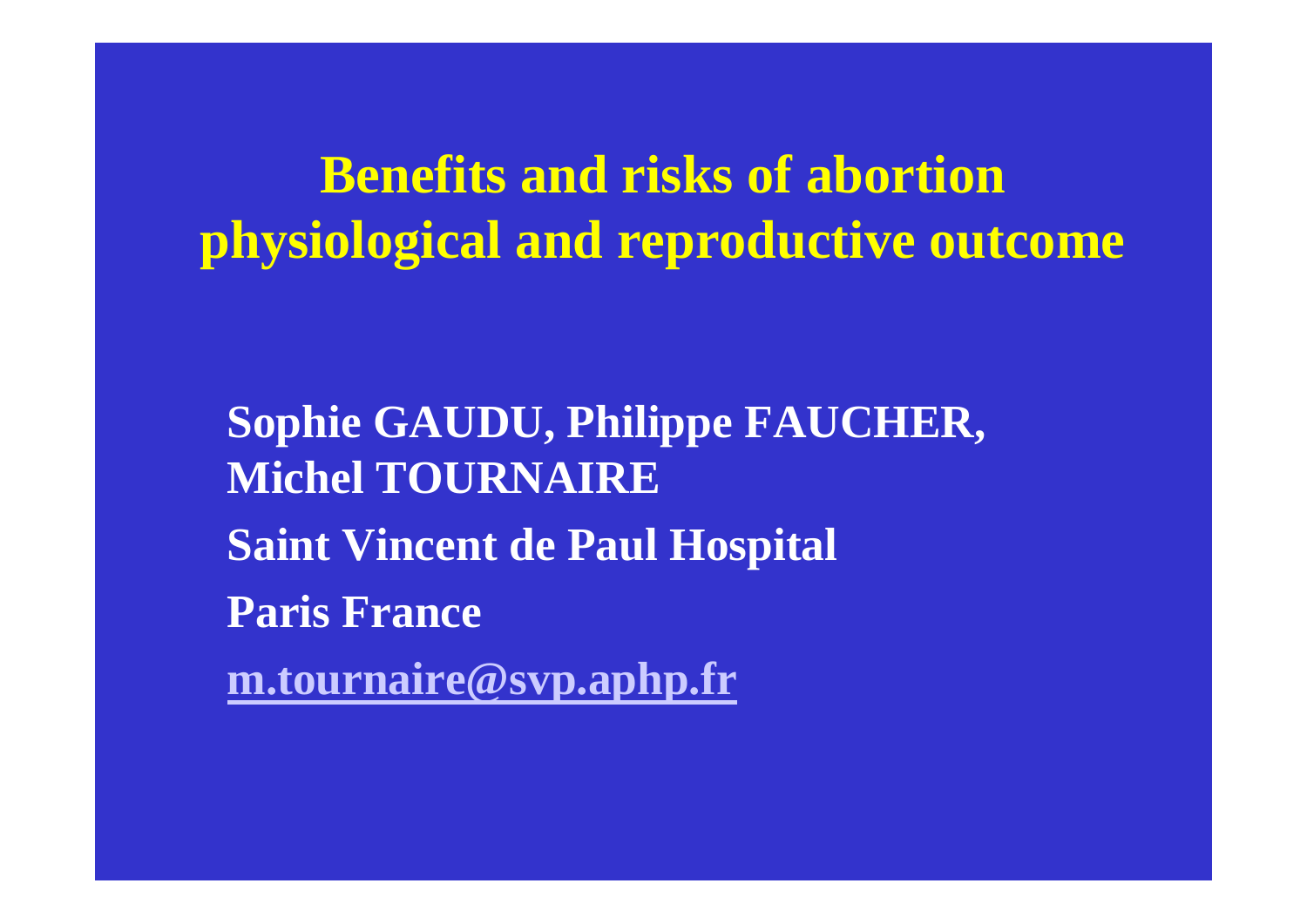**Benefits and risks of abortion physiological and reproductive outcome**

**Sophie GAUDU, Philippe FAUCHER, Michel TOURNAIRE Saint Vincent de Paul Hospital Paris France[m.tournaire@svp.aphp.fr](mailto:m.tournaire@svp.aphp.fr)**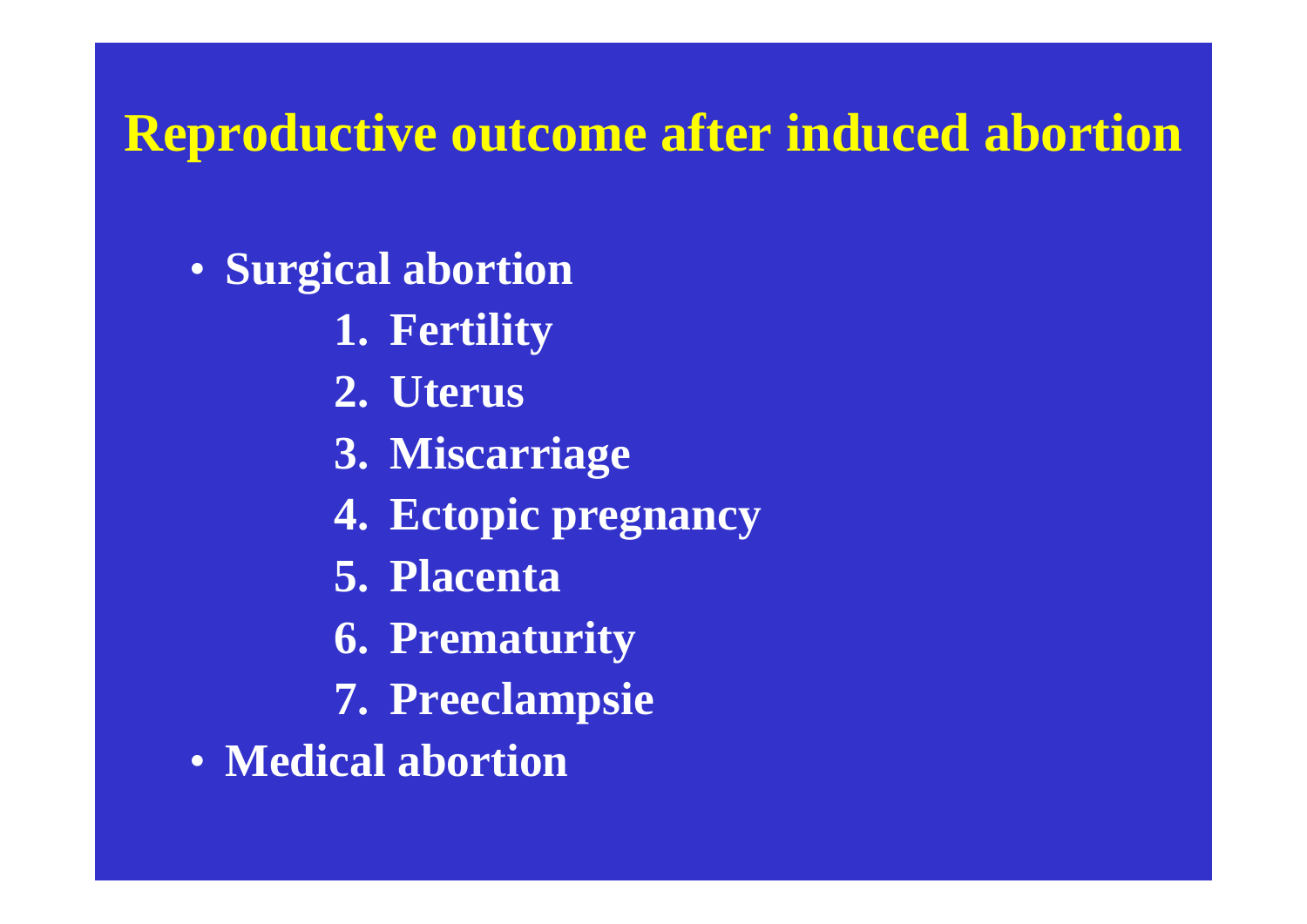### **Reproductive outcome after induced abortion**

- **Surgical abortion**
	- **1. Fertility**
	- **2. Uterus**
	- **3. Miscarriage**
	- **4. Ectopic pregnancy**
	- **5. Placenta**
	- **6. Prematurity**
	- **7. Preeclampsie**
- **Medical abortion**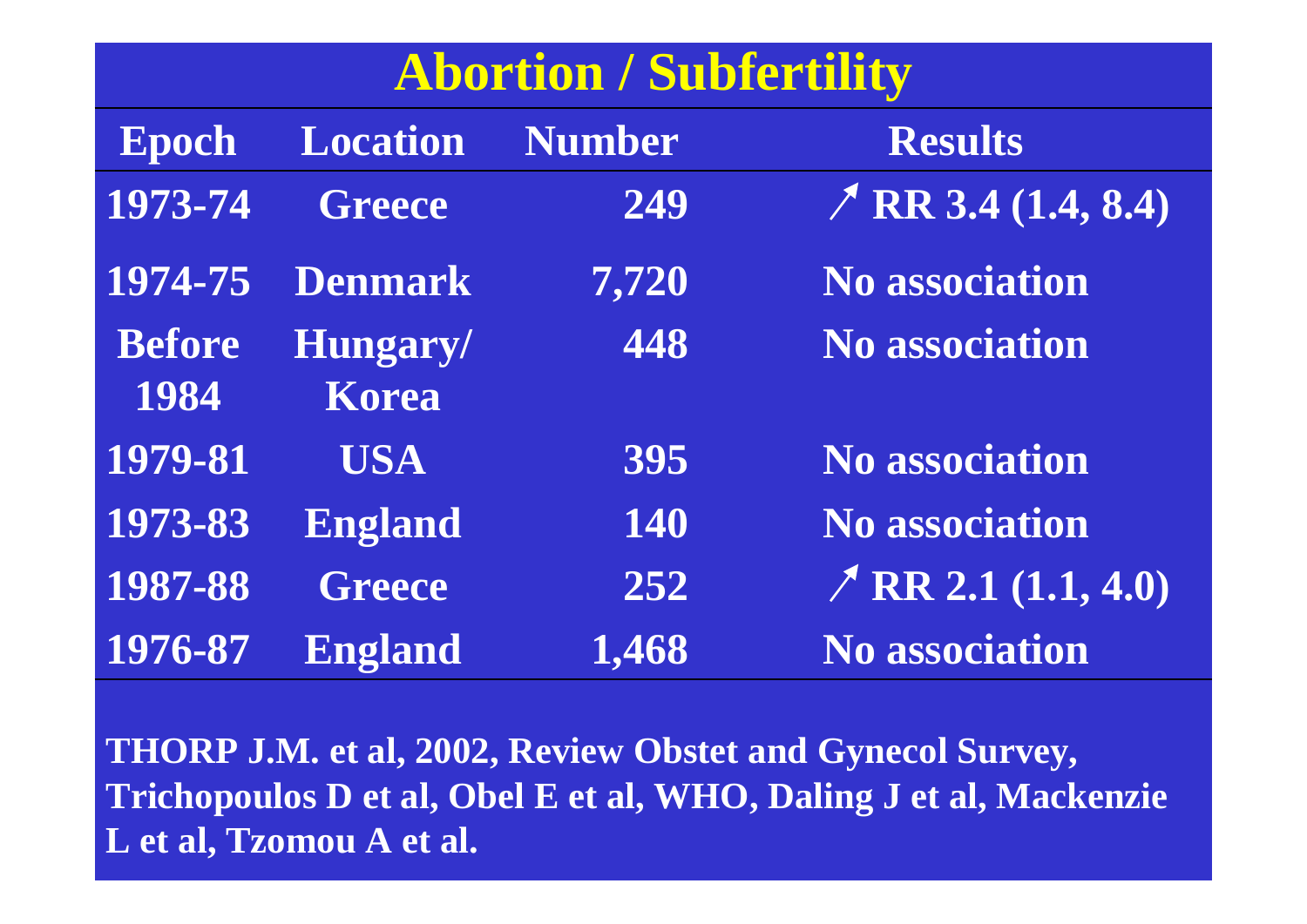## **Abortion / Subfertility**

| Epoch                 | <b>Location</b>   | <b>Number</b> | <b>Results</b>             |
|-----------------------|-------------------|---------------|----------------------------|
| 1973-74               | <b>Greece</b>     | 249           | $\angle$ RR 3.4 (1.4, 8.4) |
| 1974-75               | <b>Denmark</b>    | 7,720         | <b>No association</b>      |
| <b>Before</b><br>1984 | Hungary/<br>Korea | 448           | <b>No association</b>      |
| 1979-81               | <b>USA</b>        | 395           | <b>No association</b>      |
| 1973-83               | <b>England</b>    | 140           | <b>No association</b>      |
| 1987-88               | <b>Greece</b>     | 252           | $\angle$ RR 2.1 (1.1, 4.0) |
| 1976-87               | <b>England</b>    | 1,468         | <b>No association</b>      |

**THORP J.M. et al, 2002, Review Obstet and Gynecol Survey, Trichopoulos D et al, Obel E et al, WHO, Daling J et al, Mackenzie L et al, Tzomou A et al.**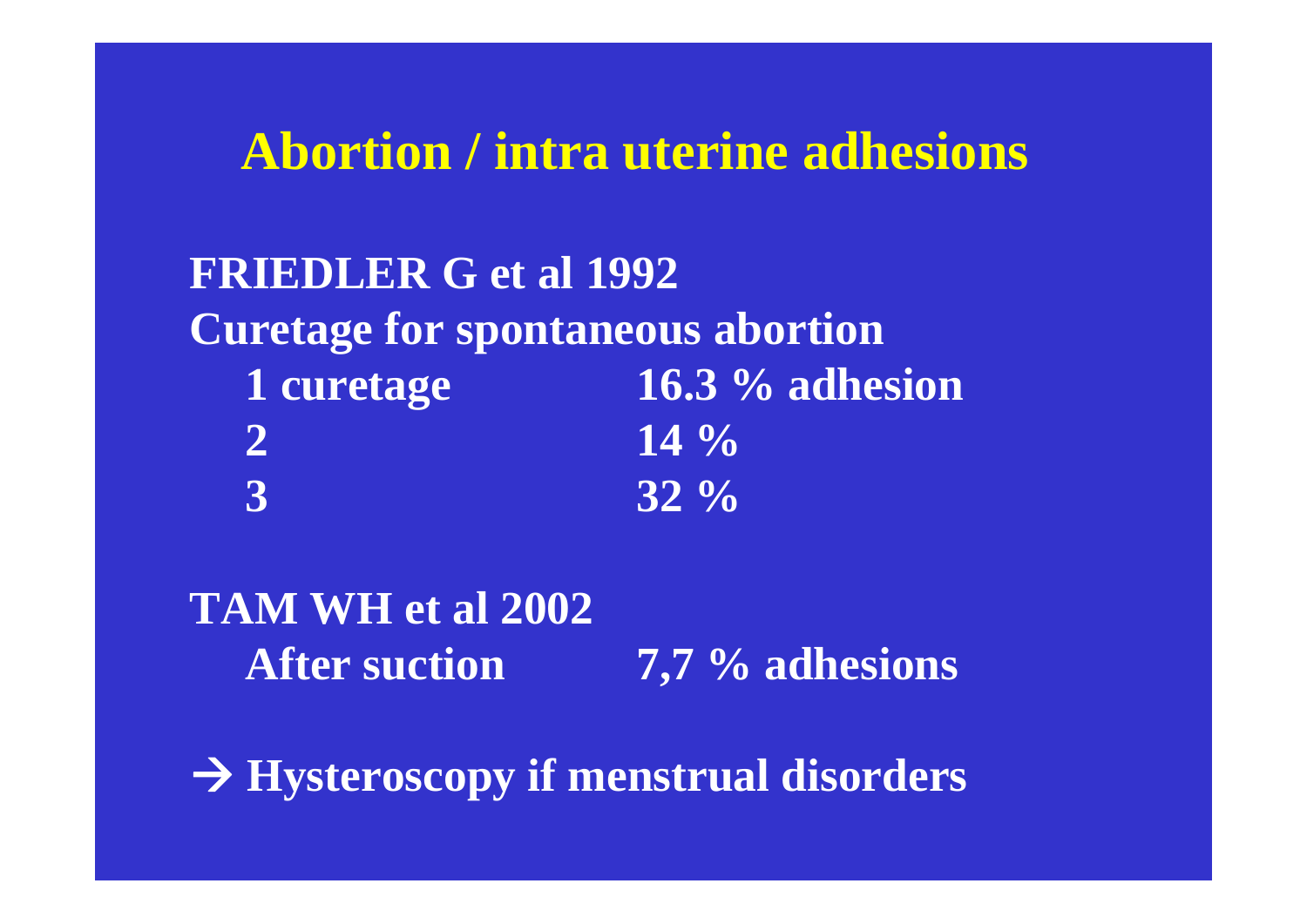### **Abortion / intra uterine adhesions**

**FRIEDLER G et al 1992 Curetage for spontaneous abortion 1 curetage 16.3 % adhesion 2** 14 % **3 32 %**

**TAM WH et al 2002After suction 7,7 % adhesions**

Æ **Hysteroscopy if menstrual disorders**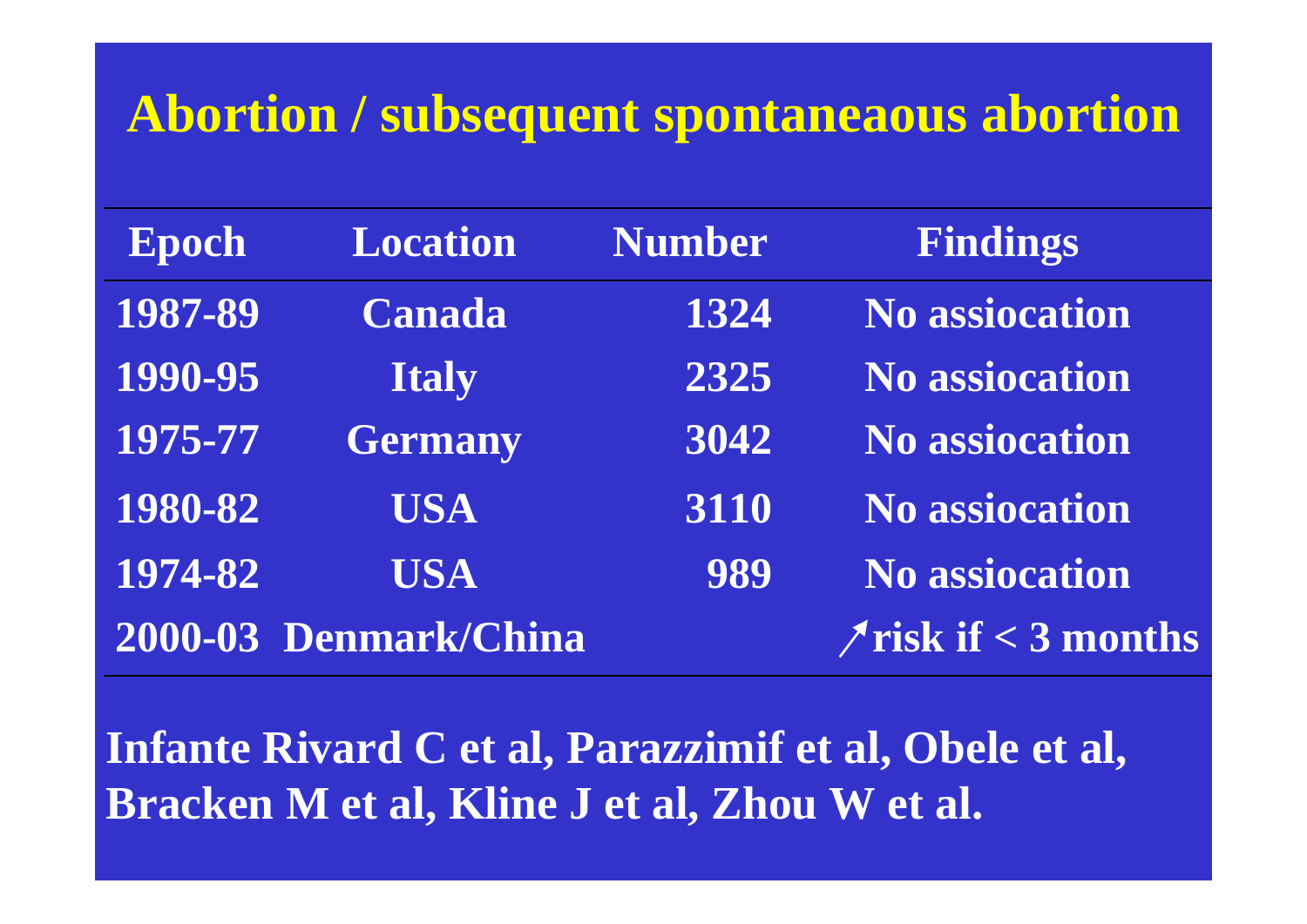### **Abortion / subsequent spontaneaous abortion**

| Epoch   | <b>Location</b>       | <b>Number</b> | Findings                    |
|---------|-----------------------|---------------|-----------------------------|
| 1987-89 | <b>Canada</b>         | 1324          | <b>No assiocation</b>       |
| 1990-95 | <b>Italy</b>          | 2325          | <b>No assiocation</b>       |
| 1975-77 | <b>Germany</b>        | 3042          | <b>No assiocation</b>       |
| 1980-82 | <b>USA</b>            | 3110          | <b>No assiocation</b>       |
| 1974-82 | <b>USA</b>            | 989           | <b>No assiocation</b>       |
|         | 2000-03 Denmark/China |               | $\gamma$ risk if < 3 months |

**Infante Rivard C et al, Parazzimif et al, Obele et al, Bracken M et al, Kline J et al, Zhou W et al.**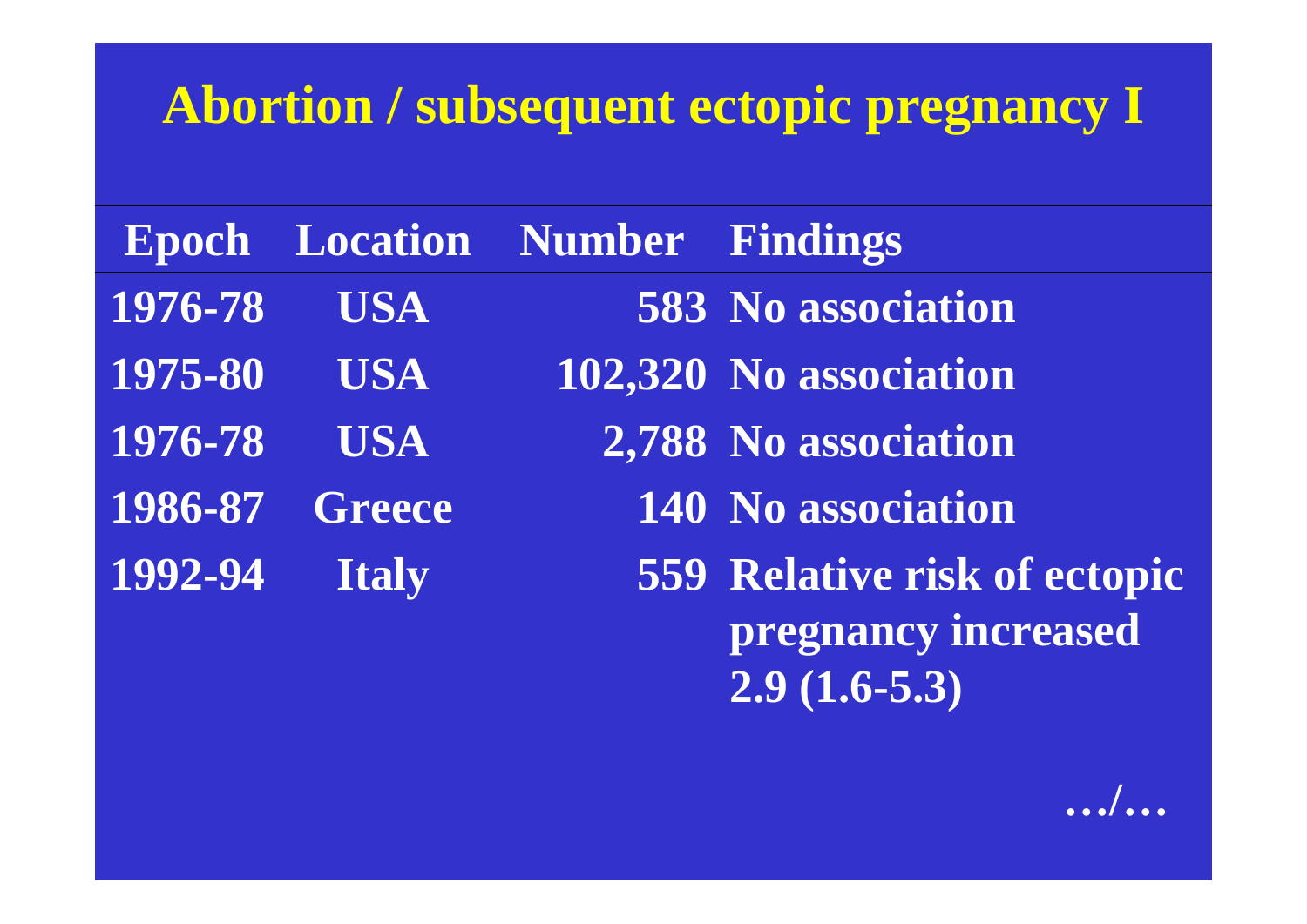## **Abortion / subsequent ectopic pregnancy I**

|         |                | <b>Epoch Location Number Findings</b> |                                                                              |
|---------|----------------|---------------------------------------|------------------------------------------------------------------------------|
| 1976-78 | <b>USA</b>     |                                       | <b>583 No association</b>                                                    |
| 1975-80 | <b>USA</b>     |                                       | 102,320 No association                                                       |
| 1976-78 | <b>USA</b>     |                                       | 2,788 No association                                                         |
|         | 1986-87 Greece |                                       | <b>140 No association</b>                                                    |
| 1992-94 | <b>Italy</b>   |                                       | <b>559 Relative risk of ectopic</b><br>pregnancy increased<br>$2.9(1.6-5.3)$ |

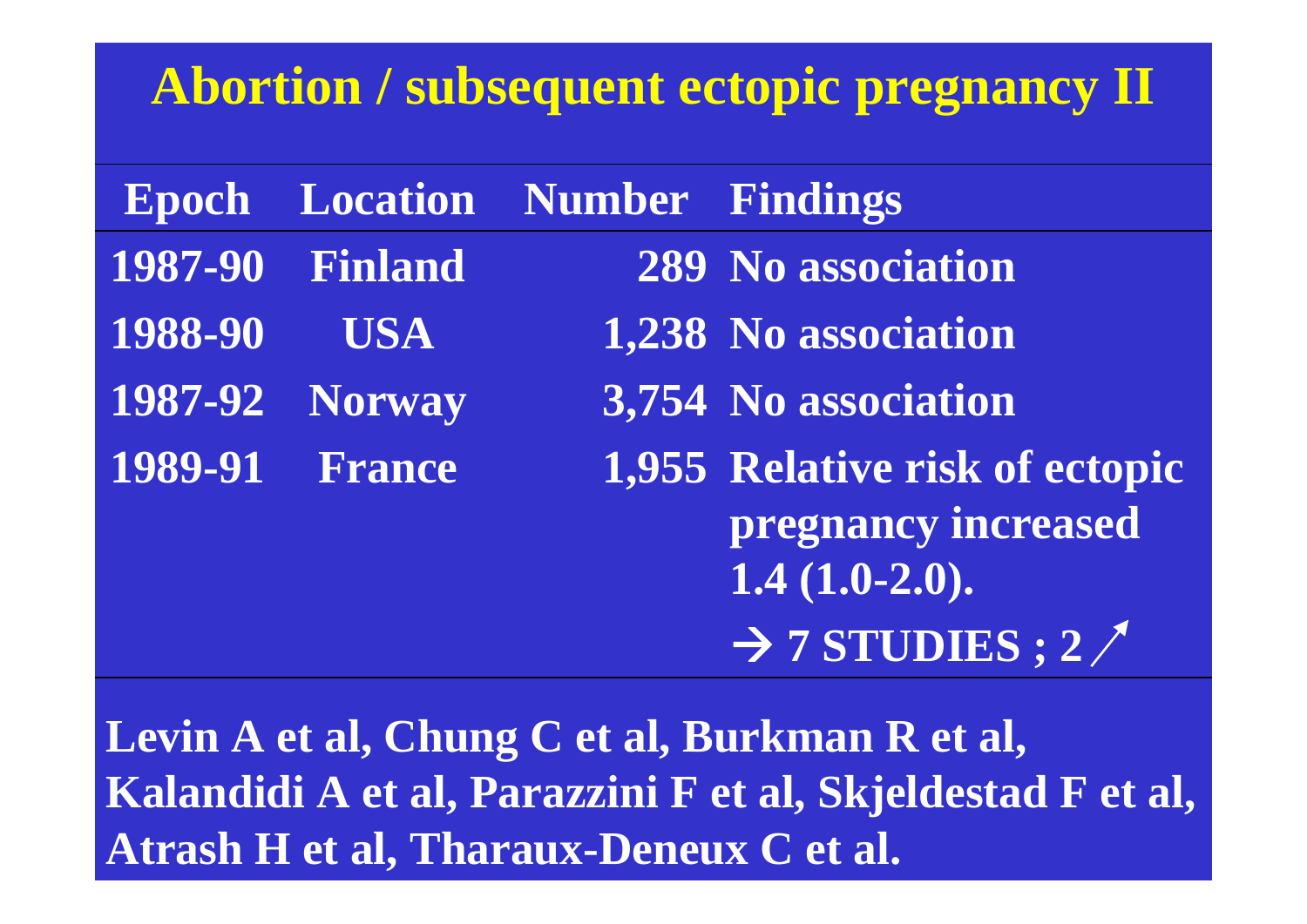### **Abortion / subsequent ectopic pregnancy II**

|         | <b>Epoch Location Number Findings</b> |                                                                          |
|---------|---------------------------------------|--------------------------------------------------------------------------|
|         | <b>1987-90 Finland</b>                | <b>289 No association</b>                                                |
| 1988-90 | USA <sup>.</sup>                      | 1,238 No association                                                     |
|         | <b>1987-92 Norway</b>                 | 3,754 No association                                                     |
|         | <b>1989-91 France</b>                 | 1,955 Relative risk of ectopic<br>pregnancy increased<br>$1.4(1.0-2.0).$ |
|         |                                       | $\rightarrow$ 7 STUDIES ; 2/                                             |

**Levin A et al, Chung C et al, Burkman R et al, Kalandidi A et al, Parazzini F et al, Skjeldestad F et al, Atrash H et al, Tharaux-Deneux C et al.**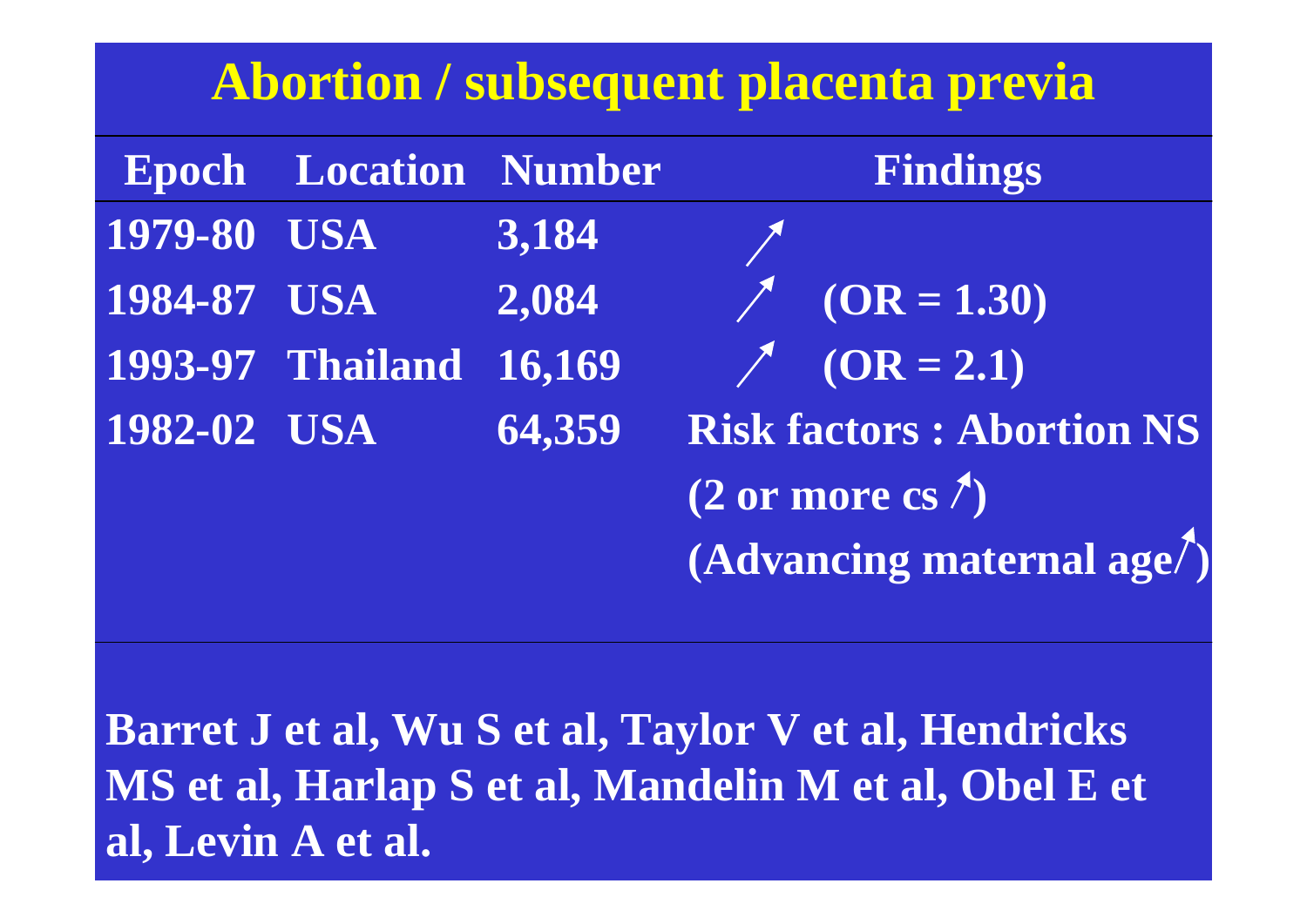## **Abortion / subsequent placenta previa**

|             | <b>Epoch Location Number</b> |        | Findings                               |
|-------------|------------------------------|--------|----------------------------------------|
| 1979-80 USA |                              | 3,184  |                                        |
| 1984-87 USA |                              | 2,084  | $\times$ (OR = 1.30)                   |
|             | 1993-97 Thailand 16,169      |        | $\angle$ (OR = 2.1)                    |
| 1982-02 USA |                              | 64,359 | <b>Risk factors: Abortion NS</b>       |
|             |                              |        | $(2 \text{ or more cs}^{\mathcal{F}})$ |
|             |                              |        | $(Advancing \text{ maternal age})$     |

**Barret J et al, Wu S et al, Taylor V et al, Hendricks MS et al, Harlap S et al, Mandelin M et al, Obel E et al, Levin A et al.**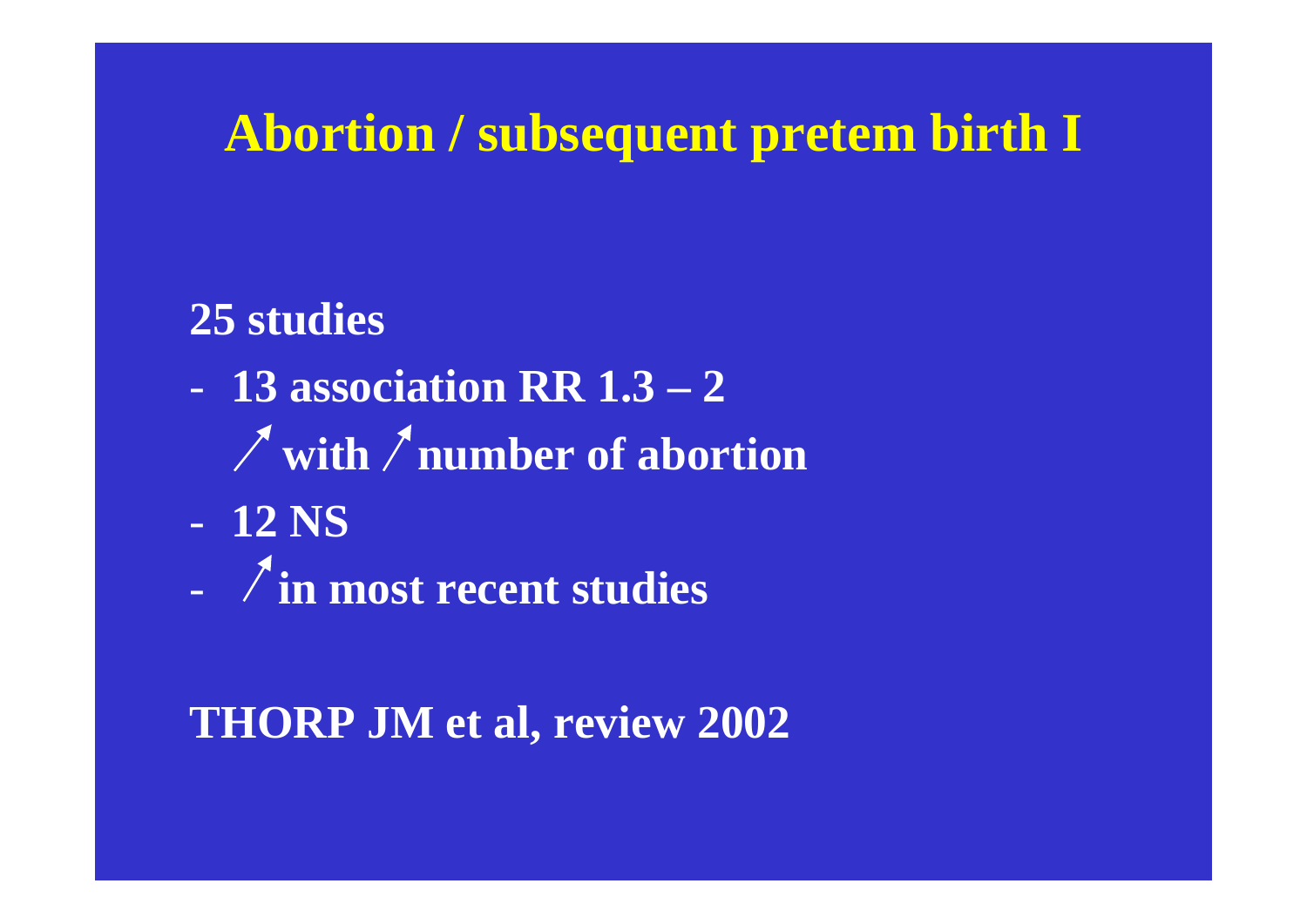## **Abortion / subsequent pretem birth I**

#### **25 studies**

- **13 association RR 1.3 2**
	- with / number of abortion
- **12 NS**
- **in most recent studies**

#### **THORP JM et al, review 2002**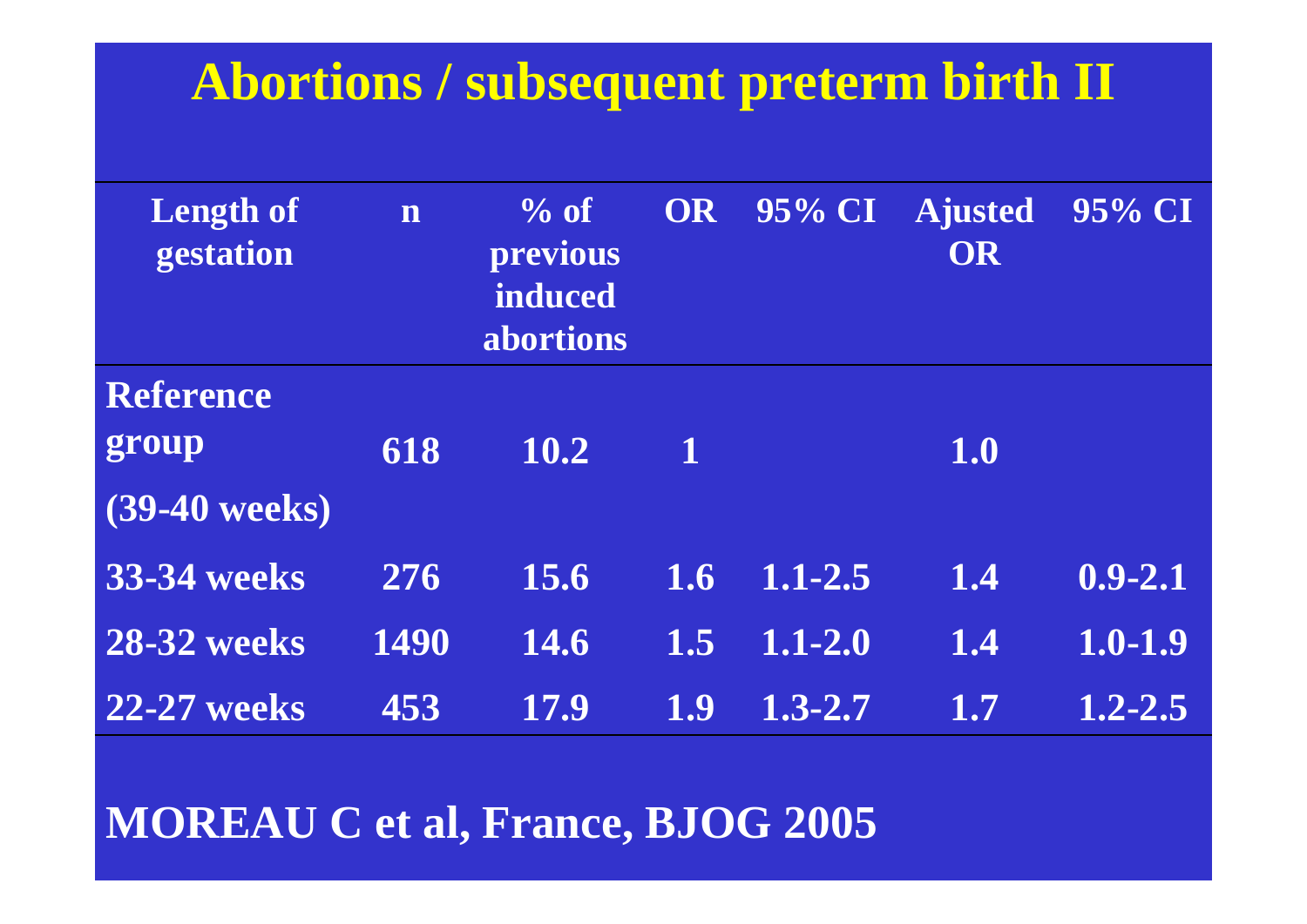## **Abortions / subsequent preterm birth II**

| <b>Length of</b><br>gestation                | n    | $\%$ of<br>previous<br>induced<br>abortions | OR          | 95% CI      | <b>Ajusted</b><br><b>OR</b> | 95% CI      |
|----------------------------------------------|------|---------------------------------------------|-------------|-------------|-----------------------------|-------------|
| <b>Reference</b><br>group<br>$(39-40$ weeks) | 618  | 10.2                                        | $\mathbf 1$ |             | 1.0                         |             |
| <b>33-34 weeks</b>                           | 276  | 15.6                                        | 1.6         | $1.1 - 2.5$ | 1.4                         | $0.9 - 2.1$ |
| <b>28-32 weeks</b>                           | 1490 | 14.6                                        | 1.5         | $1.1 - 2.0$ | 1.4                         | $1.0 - 1.9$ |
| <b>22-27 weeks</b>                           | 453  | 17.9                                        | 1.9         | $1.3 - 2.7$ | 1.7                         | $1,2 - 2.5$ |

#### **MOREAU C et al, France, BJOG 2005**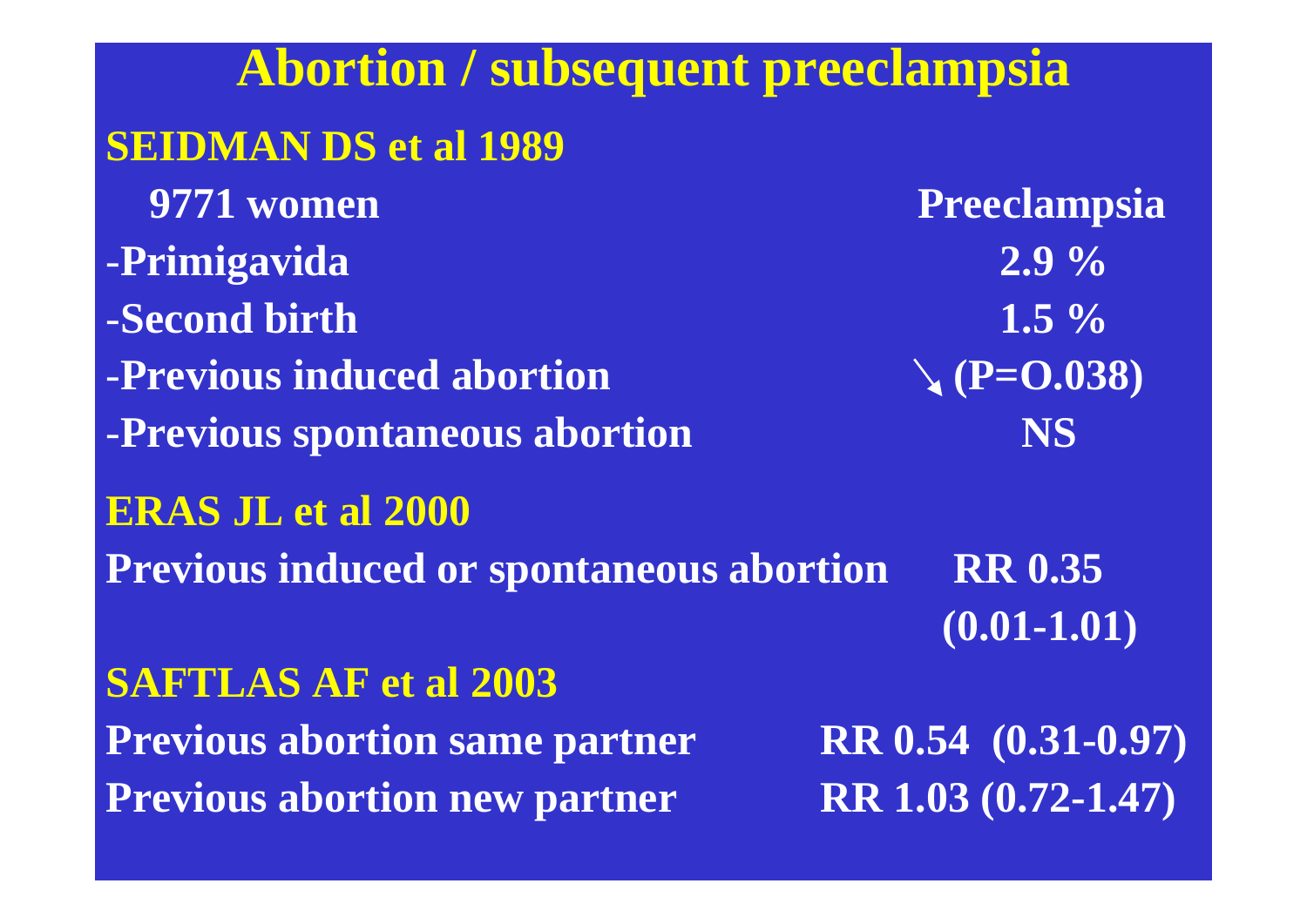# **Abortion / subsequent preeclampsia SEIDMAN DS et al 1989 9771 women** Preeclampsia -**Primigavida 2.9 %** -**Second birth 1.5 %-Previous induced abortion (P=O.038)** -**Previous spontaneous abortion NS ERAS JL et al 2000 Previous induced or spontaneous abortion RR 0.35 (0.01-1.01) SAFTLAS AF et al 2003 Previous abortion same partner RR 0.54 (0.31-0.97) Previous abortion new partner RR 1.03 (0.72-1.47)**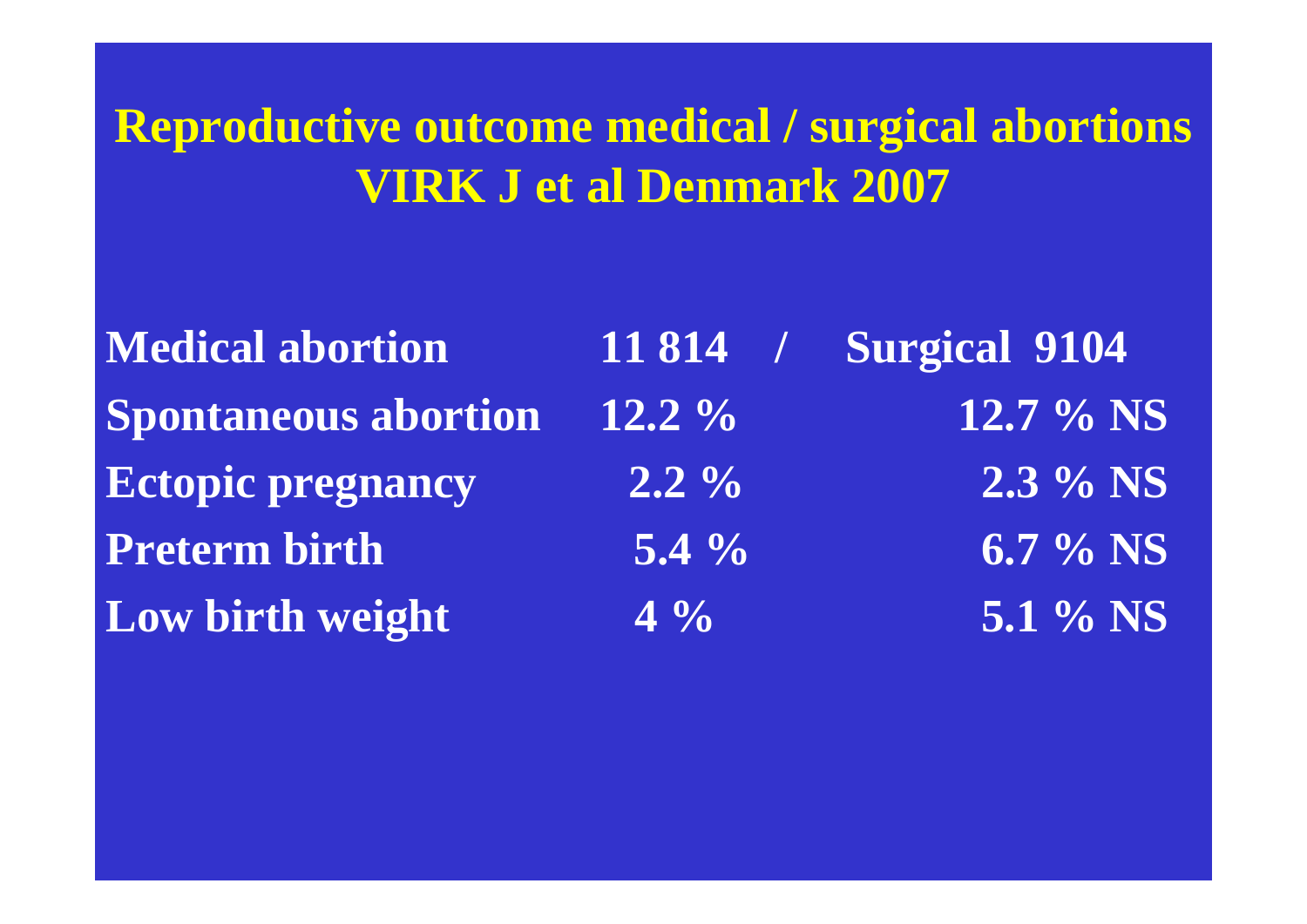**Reproductive outcome medical / surgical abortions VIRK J et al Denmark 2007**

- **Medical abortion 11 814 / Surgical 9104 Spontaneous abortion 12.2 % 12.7 % NS Ectopic pregnancy** 2.2 % 2.3 % NS **Preterm birth 5.4 % Low birth weight** 4 % 5.1 % NS
- $6.7\%$  NS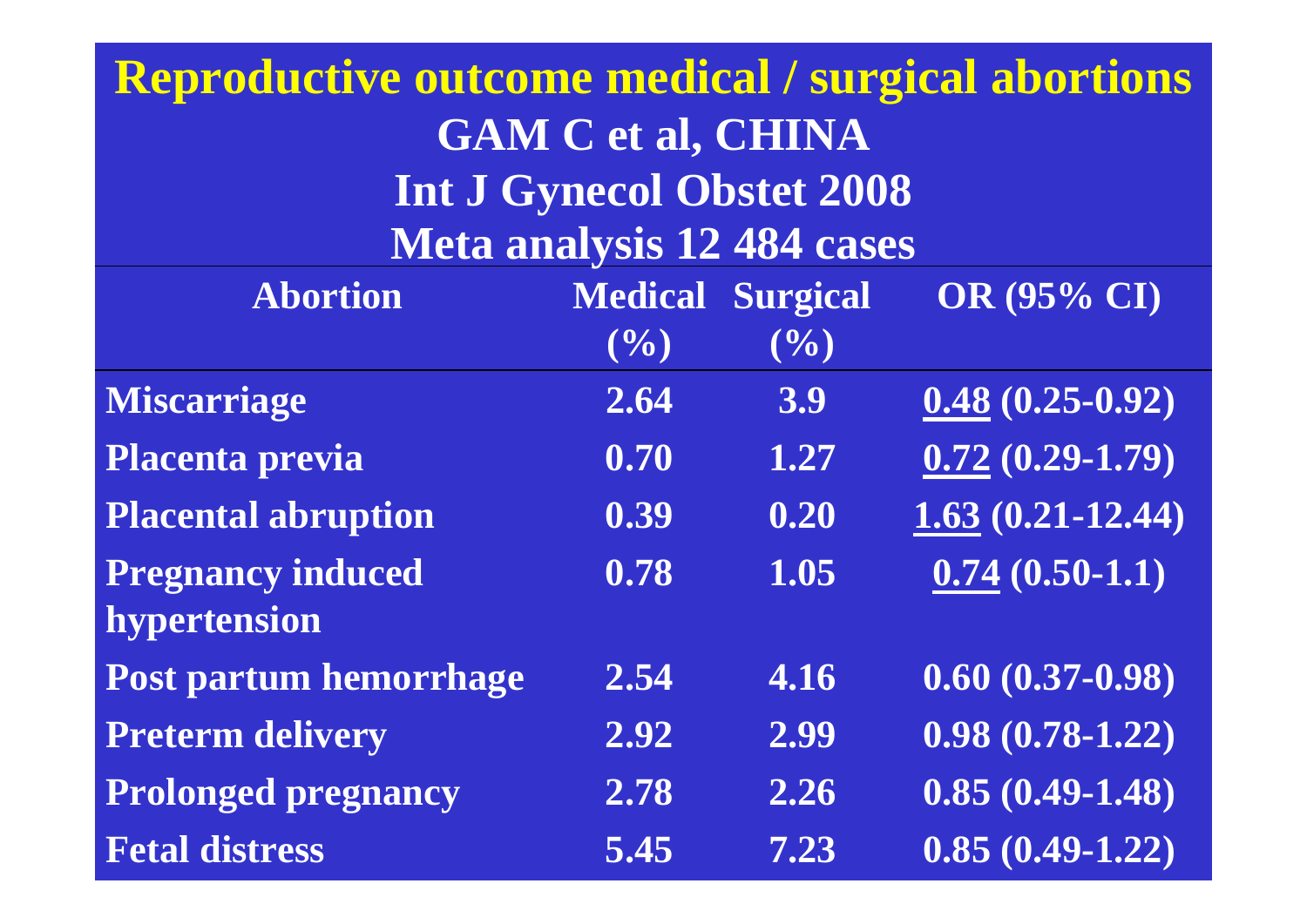### **Reproductive outcome medical / surgical abortions GAM C et al, CHINA Int J Gynecol Obstet 2008 Meta analysis 12 484 cases**

| <b>Abortion</b>            | <b>Medical</b>    | <b>Surgical</b>   | <b>OR (95% CI)</b>   |
|----------------------------|-------------------|-------------------|----------------------|
|                            | (9/0)             | (9/0)             |                      |
| <b>Miscarriage</b>         | 2.64              | 3.9               | $0.48(0.25-0.92)$    |
| Placenta previa            | 0.70              | 1.27              | $0.72(0.29 - 1.79)$  |
| <b>Placental abruption</b> | $\overline{0.39}$ | $\overline{0.20}$ | $1.63(0.21 - 12.44)$ |
| <b>Pregnancy induced</b>   | 0.78              | 1.05              | $0.74(0.50-1.1)$     |
| hypertension               |                   |                   |                      |
| Post partum hemorrhage     | 2.54              | 4.16              | $0.60(0.37-0.98)$    |
| <b>Preterm delivery</b>    | 2.92              | 2.99              | $0.98(0.78-1.22)$    |
| <b>Prolonged pregnancy</b> | 2.78              | 2.26              | $0.85(0.49-1.48)$    |
| <b>Fetal distress</b>      | 5.45              | 7.23              | $0.85(0.49-1.22)$    |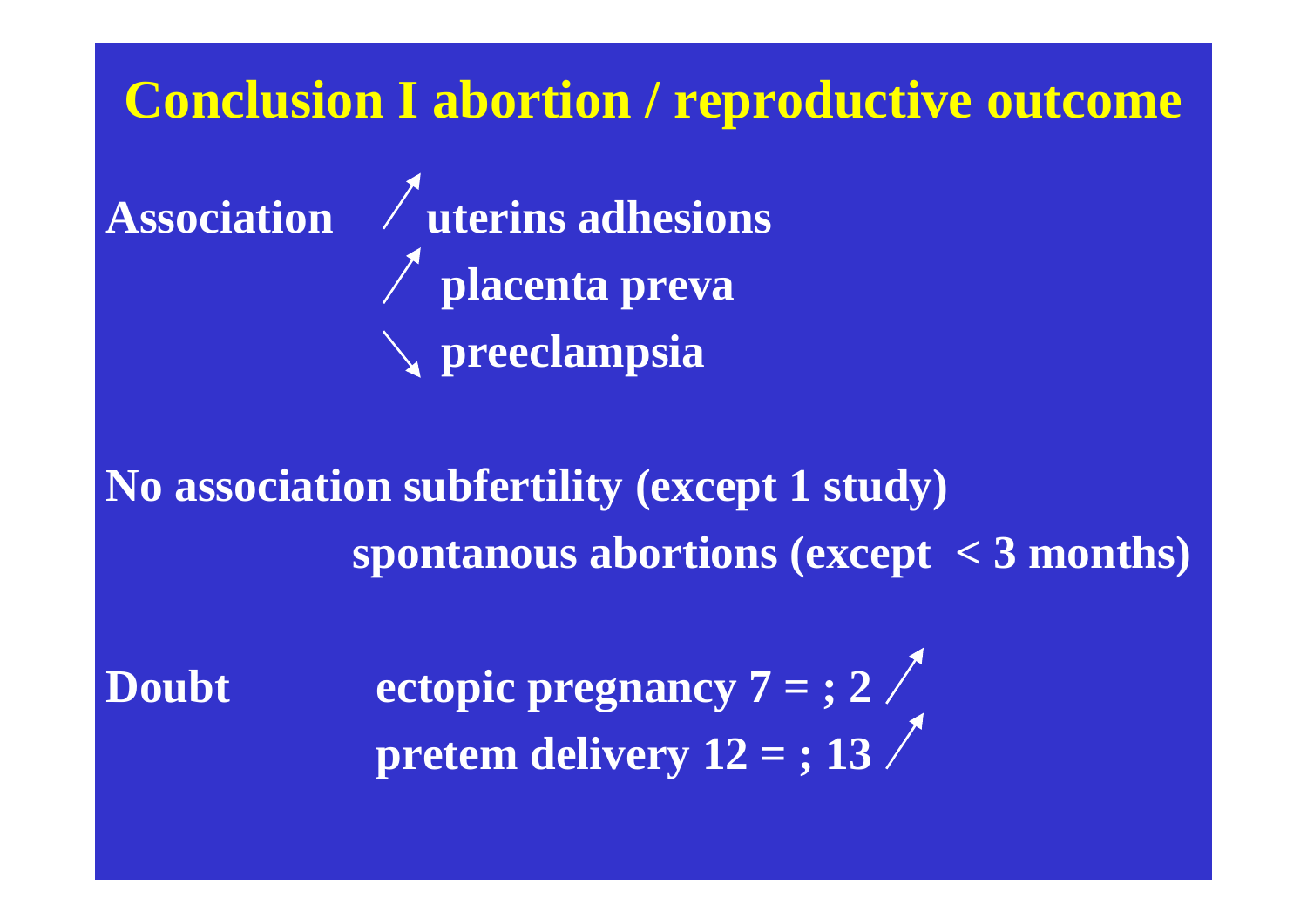### **Conclusion I abortion / reproductive outcome**

**Association** / **uterins adhesions placenta preva preeclampsia**

**No association subfertility (except 1 study) spontanous abortions (except < 3 months)**

Doubt ectopic pregnancy 7 = ; 2 pretem delivery 12 = ; 13